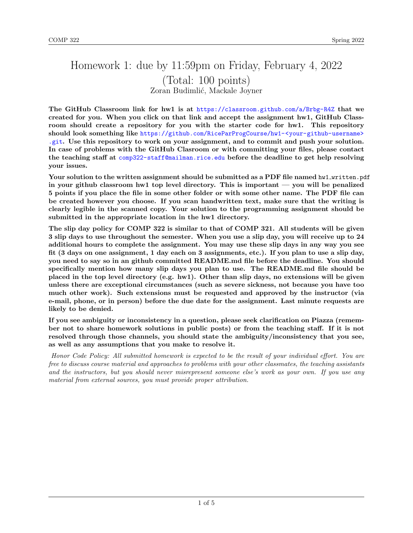# Homework 1: due by 11:59pm on Friday, February 4, 2022 (Total: 100 points) Zoran Budimlić, Mackale Joyner

The GitHub Classroom link for hw1 is at <https://classroom.github.com/a/Brbg-R4Z> that we created for you. When you click on that link and accept the assignment hw1, GitHub Classroom should create a repository for you with the starter code for hw1. This repository should look something like [https://github.com/RiceParProgCourse/hw1-<your-github-username>](https://github.com/RiceParProgCourse/hw1-<your-github-username>.git) [.git](https://github.com/RiceParProgCourse/hw1-<your-github-username>.git). Use this repository to work on your assignment, and to commit and push your solution. In case of problems with the GitHub Clasroom or with committing your files, please contact the teaching staff at <comp322-staff@mailman.rice.edu> before the deadline to get help resolving your issues.

Your solution to the written assignment should be submitted as a PDF file named hw1\_written.pdf in your github classroom hw1 top level directory. This is important — you will be penalized 5 points if you place the file in some other folder or with some other name. The PDF file can be created however you choose. If you scan handwritten text, make sure that the writing is clearly legible in the scanned copy. Your solution to the programming assignment should be submitted in the appropriate location in the hw1 directory.

The slip day policy for COMP 322 is similar to that of COMP 321. All students will be given 3 slip days to use throughout the semester. When you use a slip day, you will receive up to 24 additional hours to complete the assignment. You may use these slip days in any way you see fit (3 days on one assignment, 1 day each on 3 assignments, etc.). If you plan to use a slip day, you need to say so in an github committed README.md file before the deadline. You should specifically mention how many slip days you plan to use. The README.md file should be placed in the top level directory (e.g. hw1). Other than slip days, no extensions will be given unless there are exceptional circumstances (such as severe sickness, not because you have too much other work). Such extensions must be requested and approved by the instructor (via e-mail, phone, or in person) before the due date for the assignment. Last minute requests are likely to be denied.

If you see ambiguity or inconsistency in a question, please seek clarification on Piazza (remember not to share homework solutions in public posts) or from the teaching staff. If it is not resolved through those channels, you should state the ambiguity/inconsistency that you see, as well as any assumptions that you make to resolve it.

Honor Code Policy: All submitted homework is expected to be the result of your individual effort. You are free to discuss course material and approaches to problems with your other classmates, the teaching assistants and the instructors, but you should never misrepresent someone else's work as your own. If you use any material from external sources, you must provide proper attribution.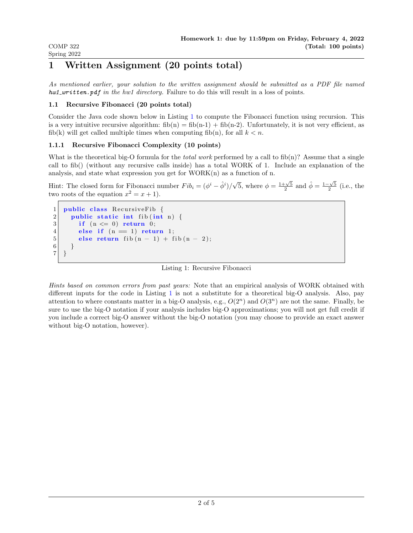As mentioned earlier, your solution to the written assignment should be submitted as a PDF file named  $hwt\_written.pdf$  in the hw1 directory. Failure to do this will result in a loss of points.

# 1.1 Recursive Fibonacci (20 points total)

COMP 322 Spring 2022

Consider the Java code shown below in Listing [1](#page-1-0) to compute the Fibonacci function using recursion. This is a very intuitive recursive algorithm:  $fib(n) = fib(n-1) + fib(n-2)$ . Unfortunately, it is not very efficient, as fib(k) will get called multiple times when computing fib(n), for all  $k < n$ .

# 1.1.1 Recursive Fibonacci Complexity (10 points)

What is the theoretical big-O formula for the *total work* performed by a call to fib(n)? Assume that a single call to fib() (without any recursive calls inside) has a total WORK of 1. Include an explanation of the analysis, and state what expression you get for WORK(n) as a function of n.

Hint: The closed form for Fibonacci number  $Fib_i = (\phi^i - \hat{\phi}^i)/\hat{\phi}^i$ √  $\overline{5}$ , where  $\phi = \frac{1+\sqrt{5}}{2}$  and  $\hat{\phi} = \frac{1-\sqrt{5}}{2}$  (i.e., the two roots of the equation  $x^2 = x + 1$ .

```
1 public class Recursive Fib {
2 public static int fib(int n) {
3 if (n \leq 0) return 0;
4 else if (n = 1) return 1;
5 else return fib (n - 1) + fib (n - 2);
6 }
7 \vert \}
```
Listing 1: Recursive Fibonacci

Hints based on common errors from past years: Note that an empirical analysis of WORK obtained with different inputs for the code in Listing [1](#page-1-0) is not a substitute for a theoretical big-O analysis. Also, pay attention to where constants matter in a big-O analysis, e.g.,  $O(2<sup>n</sup>)$  and  $O(3<sup>n</sup>)$  are not the same. Finally, be sure to use the big-O notation if your analysis includes big-O approximations; you will not get full credit if you include a correct big-O answer without the big-O notation (you may choose to provide an exact answer without big-O notation, however).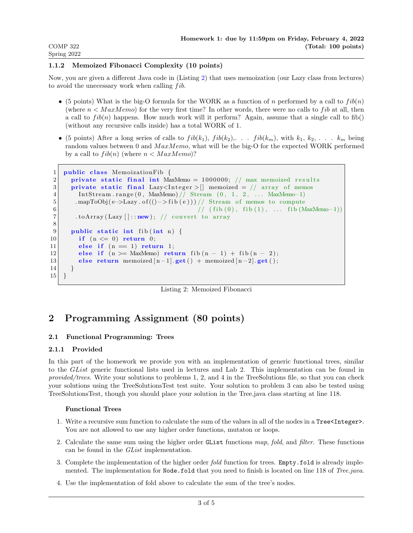# 1.1.2 Memoized Fibonacci Complexity (10 points)

Now, you are given a different Java code in (Listing [2\)](#page-2-0) that uses memoization (our Lazy class from lectures) to avoid the unecessary work when calling  $fib.$ 

- (5 points) What is the big-O formula for the WORK as a function of n performed by a call to  $fib(n)$ (where  $n < \text{MaxMemo}$ ) for the very first time? In other words, there were no calls to fib at all, then a call to  $fib(n)$  happens. How much work will it perform? Again, assume that a single call to fib() (without any recursive calls inside) has a total WORK of 1.
- (5 points) After a long series of calls to  $fib(k_1), fib(k_2), \ldots, fib(k_m),$  with  $k_1, k_2, \ldots, k_m$  being random values between 0 and  $MaxMemo$ , what will be the big-O for the expected WORK performed by a call to  $fib(n)$  (where  $n < Max Memo$ )?

```
1 public class MemoizationFib {
2 private static final int MaxMemo = 1000000; // max memoized results
3 private static final Lazy<Integer > [] memoized = // array of memos
4 In tS t ream . r an ge ( 0 , MaxMemo) // Stream ( 0 , 1 , 2 , . . . MaxMemo−1)
5 | mapToObj(e->Lazy.of(()->fib(e)))// Stream of memos to compute
6 \begin{array}{ccc} 6 \end{array} (fib (0), fib (1), ... fib (MaxMemo-1))
7 . to Array (Lazy []::new); // convert to array
8
9 public static int fib(int n) {
10 if (n \leq 0) return 0;
11 else if (n = 1) return 1;
12 else if (n > = MaxMemo) return fib (n - 1) + fib (n - 2);
13 else return memoized [n-1]. get () + memoized [n-2]. get ();
14 }
15 }
```
Listing 2: Memoized Fibonacci

# 2 Programming Assignment (80 points)

# 2.1 Functional Programming: Trees

### 2.1.1 Provided

In this part of the homework we provide you with an implementation of generic functional trees, similar to the GList generic functional lists used in lectures and Lab 2. This implementation can be found in provided/trees. Write your solutions to problems 1, 2, and 4 in the TreeSolutions file, so that you can check your solutions using the TreeSolutionsTest test suite. Your solution to problem 3 can also be tested using TreeSolutionsTest, though you should place your solution in the Tree.java class starting at line 118.

### Functional Trees

- 1. Write a recursive sum function to calculate the sum of the values in all of the nodes in a Tree<Integer>. You are not allowed to use any higher order functions, mutaton or loops.
- 2. Calculate the same sum using the higher order GList functions map, fold, and filter. These functions can be found in the GList implementation.
- 3. Complete the implementation of the higher order fold function for trees. Empty.fold is already implemented. The implementation for Node.fold that you need to finish is located on line 118 of Tree.java.
- 4. Use the implementation of fold above to calculate the sum of the tree's nodes.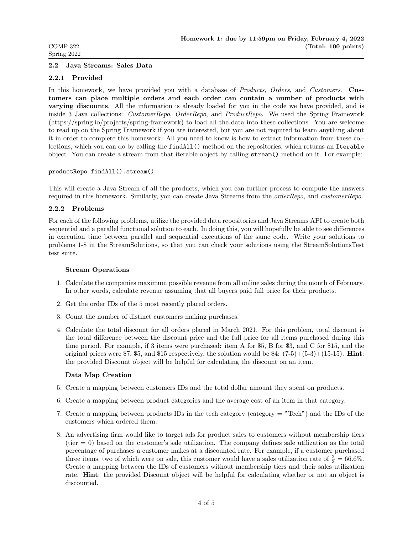#### 2.2 Java Streams: Sales Data

#### 2.2.1 Provided

In this homework, we have provided you with a database of *Products*, Orders, and Customers. Customers can place multiple orders and each order can contain a number of products with varying discounts. All the information is already loaded for you in the code we have provided, and is inside 3 Java collections: CustomerRepo, OrderRepo, and ProductRepo. We used the Spring Framework (https://spring.io/projects/spring-framework) to load all the data into these collections. You are welcome to read up on the Spring Framework if you are interested, but you are not required to learn anything about it in order to complete this homework. All you need to know is how to extract information from these collections, which you can do by calling the findAll() method on the repositories, which returns an Iterable object. You can create a stream from that iterable object by calling stream() method on it. For example:

#### productRepo.findAll().stream()

This will create a Java Stream of all the products, which you can further process to compute the answers required in this homework. Similarly, you can create Java Streams from the orderRepo, and customerRepo.

#### 2.2.2 Problems

For each of the following problems, utilize the provided data repositories and Java Streams API to create both sequential and a parallel functional solution to each. In doing this, you will hopefully be able to see differences in execution time between parallel and sequential executions of the same code. Write your solutions to problems 1-8 in the StreamSolutions, so that you can check your solutions using the StreamSolutionsTest test suite.

#### Stream Operations

- 1. Calculate the companies maximum possible revenue from all online sales during the month of February. In other words, calculate revenue assuming that all buyers paid full price for their products.
- 2. Get the order IDs of the 5 most recently placed orders.
- 3. Count the number of distinct customers making purchases.
- 4. Calculate the total discount for all orders placed in March 2021. For this problem, total discount is the total difference between the discount price and the full price for all items purchased during this time period. For example, if 3 items were purchased: item A for \$5, B for \$3, and C for \$15, and the original prices were  $\text{\$7, $5$, and $15 respectively, the solution would be $4: (7-5)+(5-3)+(15-15). **Hint**:$ the provided Discount object will be helpful for calculating the discount on an item.

#### Data Map Creation

- 5. Create a mapping between customers IDs and the total dollar amount they spent on products.
- 6. Create a mapping between product categories and the average cost of an item in that category.
- 7. Create a mapping between products IDs in the tech category (category = "Tech") and the IDs of the customers which ordered them.
- 8. An advertising firm would like to target ads for product sales to customers without membership tiers  $(tier = 0)$  based on the customer's sale utilization. The company defines sale utilization as the total percentage of purchases a customer makes at a discounted rate. For example, if a customer purchased three items, two of which were on sale, this customer would have a sales utilization rate of  $\frac{2}{3} = 66.6\%$ . Create a mapping between the IDs of customers without membership tiers and their sales utilization rate. Hint: the provided Discount object will be helpful for calculating whether or not an object is discounted.